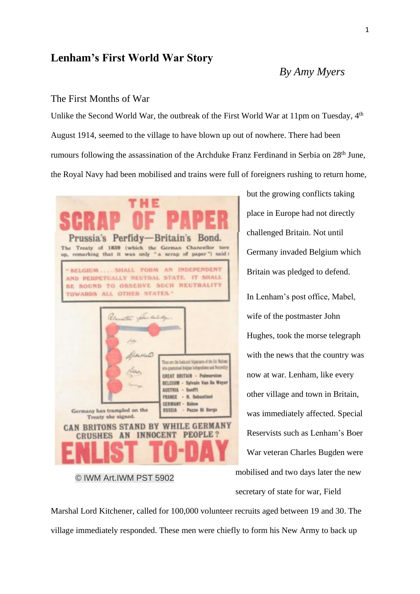# **Lenham's First World War Story**

# *By Amy Myers*

### The First Months of War

Unlike the Second World War, the outbreak of the First World War at 11pm on Tuesday, 4<sup>th</sup> August 1914, seemed to the village to have blown up out of nowhere. There had been rumours following the assassination of the Archduke Franz Ferdinand in Serbia on 28th June, the Royal Navy had been mobilised and trains were full of foreigners rushing to return home,



© IWM Art.IWM PST 5902

but the growing conflicts taking place in Europe had not directly challenged Britain. Not until Germany invaded Belgium which Britain was pledged to defend. In Lenham's post office, Mabel, wife of the postmaster John Hughes, took the morse telegraph with the news that the country was now at war. Lenham, like every other village and town in Britain, was immediately affected. Special Reservists such as Lenham's Boer War veteran Charles Bugden were mobilised and two days later the new secretary of state for war, Field

Marshal Lord Kitchener, called for 100,000 volunteer recruits aged between 19 and 30. The village immediately responded. These men were chiefly to form his New Army to back up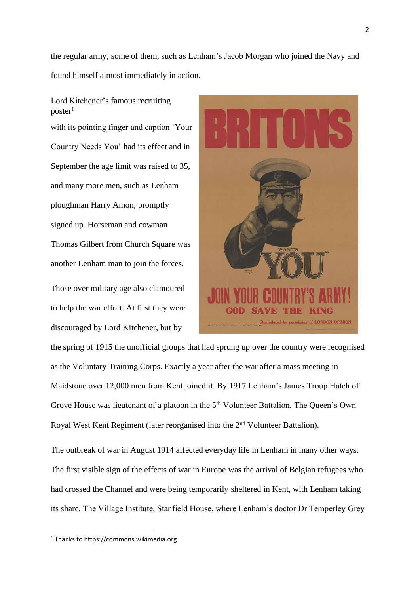the regular army; some of them, such as Lenham's Jacob Morgan who joined the Navy and found himself almost immediately in action.

Lord Kitchener's famous recruiting  $poster<sup>1</sup>$ 

with its pointing finger and caption 'Your Country Needs You' had its effect and in September the age limit was raised to 35, and many more men, such as Lenham ploughman Harry Amon, promptly signed up. Horseman and cowman Thomas Gilbert from Church Square was another Lenham man to join the forces.

Those over military age also clamoured to help the war effort. At first they were discouraged by Lord Kitchener, but by



the spring of 1915 the unofficial groups that had sprung up over the country were recognised as the Voluntary Training Corps. Exactly a year after the war after a mass meeting in Maidstone over 12,000 men from Kent joined it. By 1917 Lenham's James Troup Hatch of Grove House was lieutenant of a platoon in the 5<sup>th</sup> Volunteer Battalion, The Queen's Own Royal West Kent Regiment (later reorganised into the 2nd Volunteer Battalion).

The outbreak of war in August 1914 affected everyday life in Lenham in many other ways. The first visible sign of the effects of war in Europe was the arrival of Belgian refugees who had crossed the Channel and were being temporarily sheltered in Kent, with Lenham taking its share. The Village Institute, Stanfield House, where Lenham's doctor Dr Temperley Grey

<sup>1</sup> Thanks to https://commons.wikimedia.org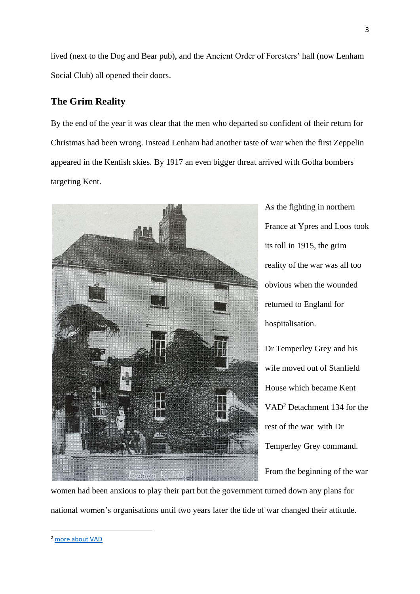lived (next to the Dog and Bear pub), and the Ancient Order of Foresters' hall (now Lenham Social Club) all opened their doors.

### **The Grim Reality**

By the end of the year it was clear that the men who departed so confident of their return for Christmas had been wrong. Instead Lenham had another taste of war when the first Zeppelin appeared in the Kentish skies. By 1917 an even bigger threat arrived with Gotha bombers targeting Kent.



As the fighting in northern France at Ypres and Loos took its toll in 1915, the grim reality of the war was all too obvious when the wounded returned to England for hospitalisation.

Dr Temperley Grey and his wife moved out of Stanfield House which became Kent VAD<sup>2</sup> Detachment 134 for the rest of the war with Dr Temperley Grey command.

From the beginning of the war

women had been anxious to play their part but the government turned down any plans for national women's organisations until two years later the tide of war changed their attitude.

<sup>3</sup>

<sup>2</sup> [more about VAD](mailto:https://vad.redcross.org.uk/~/media/BritishRedCross/Documents/Who%20we%20are/History%20and%20archives/Nursing%20during%20the%20First%20World%20War.pdf)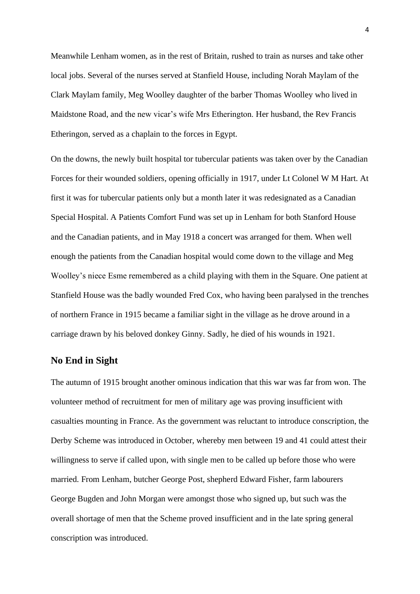Meanwhile Lenham women, as in the rest of Britain, rushed to train as nurses and take other local jobs. Several of the nurses served at Stanfield House, including Norah Maylam of the Clark Maylam family, Meg Woolley daughter of the barber Thomas Woolley who lived in Maidstone Road, and the new vicar's wife Mrs Etherington. Her husband, the Rev Francis Etheringon, served as a chaplain to the forces in Egypt.

On the downs, the newly built hospital tor tubercular patients was taken over by the Canadian Forces for their wounded soldiers, opening officially in 1917, under Lt Colonel W M Hart. At first it was for tubercular patients only but a month later it was redesignated as a Canadian Special Hospital. A Patients Comfort Fund was set up in Lenham for both Stanford House and the Canadian patients, and in May 1918 a concert was arranged for them. When well enough the patients from the Canadian hospital would come down to the village and Meg Woolley's niece Esme remembered as a child playing with them in the Square. One patient at Stanfield House was the badly wounded Fred Cox, who having been paralysed in the trenches of northern France in 1915 became a familiar sight in the village as he drove around in a carriage drawn by his beloved donkey Ginny. Sadly, he died of his wounds in 1921.

#### **No End in Sight**

The autumn of 1915 brought another ominous indication that this war was far from won. The volunteer method of recruitment for men of military age was proving insufficient with casualties mounting in France. As the government was reluctant to introduce conscription, the Derby Scheme was introduced in October, whereby men between 19 and 41 could attest their willingness to serve if called upon, with single men to be called up before those who were married. From Lenham, butcher George Post, shepherd Edward Fisher, farm labourers George Bugden and John Morgan were amongst those who signed up, but such was the overall shortage of men that the Scheme proved insufficient and in the late spring general conscription was introduced.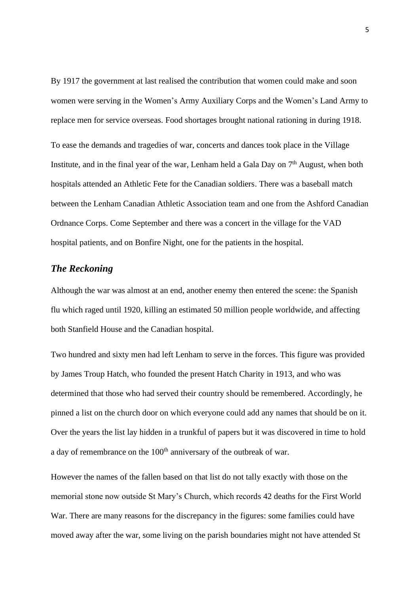By 1917 the government at last realised the contribution that women could make and soon women were serving in the Women's Army Auxiliary Corps and the Women's Land Army to replace men for service overseas. Food shortages brought national rationing in during 1918.

To ease the demands and tragedies of war, concerts and dances took place in the Village Institute, and in the final year of the war, Lenham held a Gala Day on  $7<sup>th</sup>$  August, when both hospitals attended an Athletic Fete for the Canadian soldiers. There was a baseball match between the Lenham Canadian Athletic Association team and one from the Ashford Canadian Ordnance Corps. Come September and there was a concert in the village for the VAD hospital patients, and on Bonfire Night, one for the patients in the hospital.

### *The Reckoning*

Although the war was almost at an end, another enemy then entered the scene: the Spanish flu which raged until 1920, killing an estimated 50 million people worldwide, and affecting both Stanfield House and the Canadian hospital.

Two hundred and sixty men had left Lenham to serve in the forces. This figure was provided by James Troup Hatch, who founded the present Hatch Charity in 1913, and who was determined that those who had served their country should be remembered. Accordingly, he pinned a list on the church door on which everyone could add any names that should be on it. Over the years the list lay hidden in a trunkful of papers but it was discovered in time to hold a day of remembrance on the 100<sup>th</sup> anniversary of the outbreak of war.

However the names of the fallen based on that list do not tally exactly with those on the memorial stone now outside St Mary's Church, which records 42 deaths for the First World War. There are many reasons for the discrepancy in the figures: some families could have moved away after the war, some living on the parish boundaries might not have attended St